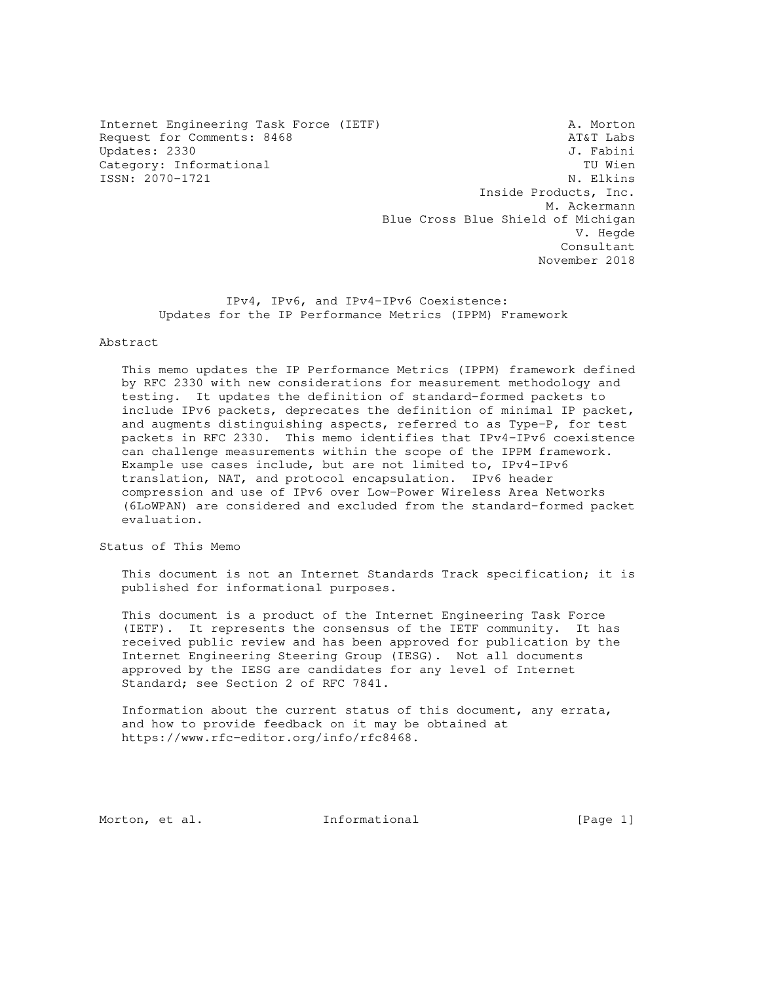Internet Engineering Task Force (IETF) A. Morton Request for Comments: 8468 AT&T Labs Updates: 2330<br>Category: Informational della controllera del category: Informational del category: TU Wien Category: Informational ISSN: 2070-1721 N. Elkins

 Inside Products, Inc. M. Ackermann Blue Cross Blue Shield of Michigan V. Hegde Consultant November 2018

 IPv4, IPv6, and IPv4-IPv6 Coexistence: Updates for the IP Performance Metrics (IPPM) Framework

### Abstract

 This memo updates the IP Performance Metrics (IPPM) framework defined by RFC 2330 with new considerations for measurement methodology and testing. It updates the definition of standard-formed packets to include IPv6 packets, deprecates the definition of minimal IP packet, and augments distinguishing aspects, referred to as Type-P, for test packets in RFC 2330. This memo identifies that IPv4-IPv6 coexistence can challenge measurements within the scope of the IPPM framework. Example use cases include, but are not limited to, IPv4-IPv6 translation, NAT, and protocol encapsulation. IPv6 header compression and use of IPv6 over Low-Power Wireless Area Networks (6LoWPAN) are considered and excluded from the standard-formed packet evaluation.

Status of This Memo

 This document is not an Internet Standards Track specification; it is published for informational purposes.

 This document is a product of the Internet Engineering Task Force (IETF). It represents the consensus of the IETF community. It has received public review and has been approved for publication by the Internet Engineering Steering Group (IESG). Not all documents approved by the IESG are candidates for any level of Internet Standard; see Section 2 of RFC 7841.

 Information about the current status of this document, any errata, and how to provide feedback on it may be obtained at https://www.rfc-editor.org/info/rfc8468.

Morton, et al. **Informational** [Page 1]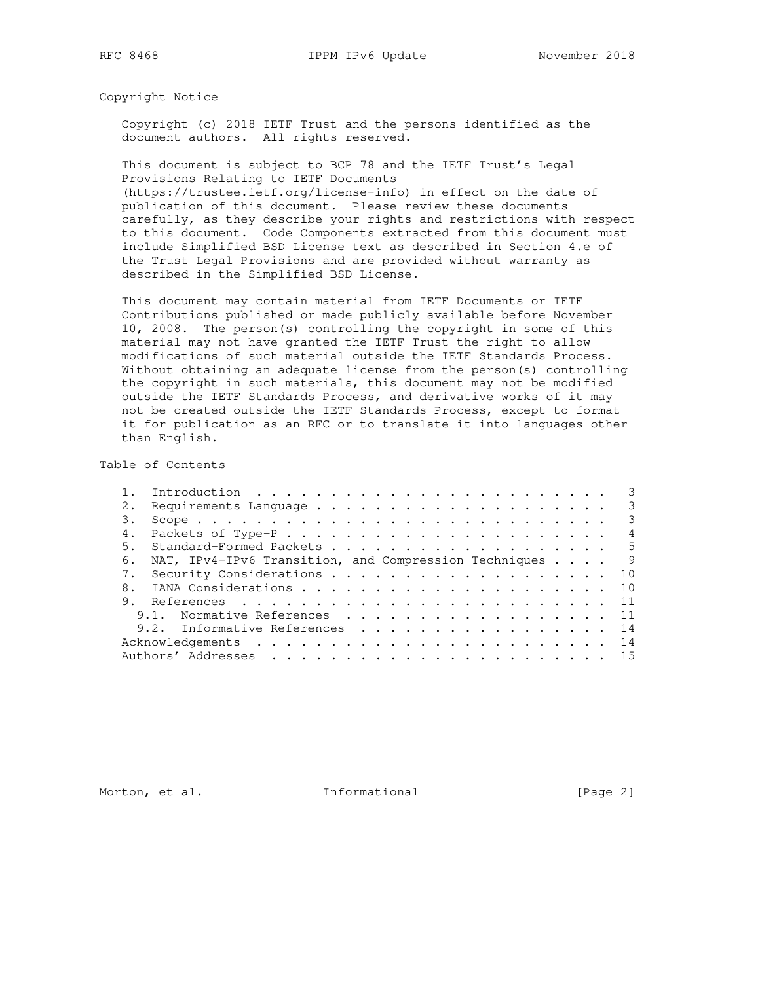Copyright Notice

 Copyright (c) 2018 IETF Trust and the persons identified as the document authors. All rights reserved.

 This document is subject to BCP 78 and the IETF Trust's Legal Provisions Relating to IETF Documents

 (https://trustee.ietf.org/license-info) in effect on the date of publication of this document. Please review these documents carefully, as they describe your rights and restrictions with respect to this document. Code Components extracted from this document must include Simplified BSD License text as described in Section 4.e of the Trust Legal Provisions and are provided without warranty as described in the Simplified BSD License.

 This document may contain material from IETF Documents or IETF Contributions published or made publicly available before November 10, 2008. The person(s) controlling the copyright in some of this material may not have granted the IETF Trust the right to allow modifications of such material outside the IETF Standards Process. Without obtaining an adequate license from the person(s) controlling the copyright in such materials, this document may not be modified outside the IETF Standards Process, and derivative works of it may not be created outside the IETF Standards Process, except to format it for publication as an RFC or to translate it into languages other than English.

Table of Contents

|                |                                                       | 3              |
|----------------|-------------------------------------------------------|----------------|
|                |                                                       | -3             |
|                |                                                       | -3             |
|                |                                                       | $\overline{4}$ |
| 5.             | Standard-Formed Packets 5                             |                |
| 6.             | NAT, IPv4-IPv6 Transition, and Compression Techniques | $\overline{9}$ |
|                | Security Considerations 10                            |                |
| 8 <sup>1</sup> |                                                       |                |
|                |                                                       |                |
|                | 9.1. Normative References 11                          |                |
|                | 9.2. Informative References 14                        |                |
|                |                                                       |                |
|                |                                                       |                |

Morton, et al. 1nformational [Page 2]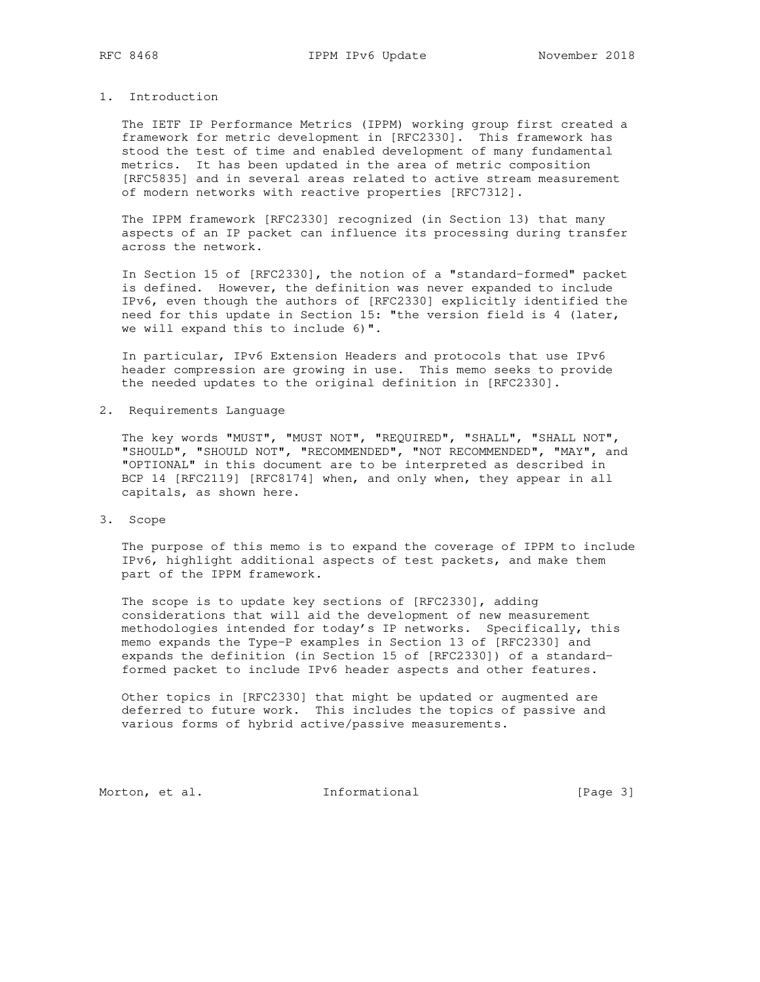# 1. Introduction

 The IETF IP Performance Metrics (IPPM) working group first created a framework for metric development in [RFC2330]. This framework has stood the test of time and enabled development of many fundamental metrics. It has been updated in the area of metric composition [RFC5835] and in several areas related to active stream measurement of modern networks with reactive properties [RFC7312].

 The IPPM framework [RFC2330] recognized (in Section 13) that many aspects of an IP packet can influence its processing during transfer across the network.

 In Section 15 of [RFC2330], the notion of a "standard-formed" packet is defined. However, the definition was never expanded to include IPv6, even though the authors of [RFC2330] explicitly identified the need for this update in Section 15: "the version field is 4 (later, we will expand this to include 6)".

 In particular, IPv6 Extension Headers and protocols that use IPv6 header compression are growing in use. This memo seeks to provide the needed updates to the original definition in [RFC2330].

2. Requirements Language

 The key words "MUST", "MUST NOT", "REQUIRED", "SHALL", "SHALL NOT", "SHOULD", "SHOULD NOT", "RECOMMENDED", "NOT RECOMMENDED", "MAY", and "OPTIONAL" in this document are to be interpreted as described in BCP 14 [RFC2119] [RFC8174] when, and only when, they appear in all capitals, as shown here.

3. Scope

 The purpose of this memo is to expand the coverage of IPPM to include IPv6, highlight additional aspects of test packets, and make them part of the IPPM framework.

 The scope is to update key sections of [RFC2330], adding considerations that will aid the development of new measurement methodologies intended for today's IP networks. Specifically, this memo expands the Type-P examples in Section 13 of [RFC2330] and expands the definition (in Section 15 of [RFC2330]) of a standard formed packet to include IPv6 header aspects and other features.

 Other topics in [RFC2330] that might be updated or augmented are deferred to future work. This includes the topics of passive and various forms of hybrid active/passive measurements.

Morton, et al. 1nformational [Page 3]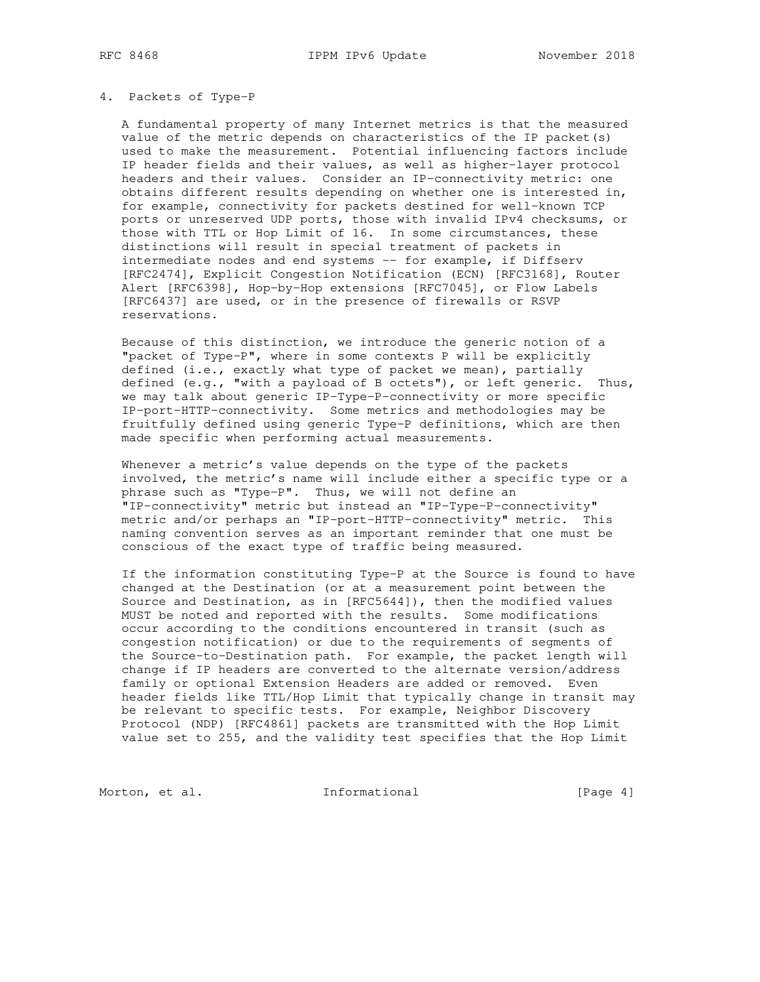#### 4. Packets of Type-P

 A fundamental property of many Internet metrics is that the measured value of the metric depends on characteristics of the IP packet(s) used to make the measurement. Potential influencing factors include IP header fields and their values, as well as higher-layer protocol headers and their values. Consider an IP-connectivity metric: one obtains different results depending on whether one is interested in, for example, connectivity for packets destined for well-known TCP ports or unreserved UDP ports, those with invalid IPv4 checksums, or those with TTL or Hop Limit of 16. In some circumstances, these distinctions will result in special treatment of packets in intermediate nodes and end systems -- for example, if Diffserv [RFC2474], Explicit Congestion Notification (ECN) [RFC3168], Router Alert [RFC6398], Hop-by-Hop extensions [RFC7045], or Flow Labels [RFC6437] are used, or in the presence of firewalls or RSVP reservations.

 Because of this distinction, we introduce the generic notion of a "packet of Type-P", where in some contexts P will be explicitly defined (i.e., exactly what type of packet we mean), partially defined (e.g., "with a payload of B octets"), or left generic. Thus, we may talk about generic IP-Type-P-connectivity or more specific IP-port-HTTP-connectivity. Some metrics and methodologies may be fruitfully defined using generic Type-P definitions, which are then made specific when performing actual measurements.

Whenever a metric's value depends on the type of the packets involved, the metric's name will include either a specific type or a phrase such as "Type-P". Thus, we will not define an "IP-connectivity" metric but instead an "IP-Type-P-connectivity" metric and/or perhaps an "IP-port-HTTP-connectivity" metric. This naming convention serves as an important reminder that one must be conscious of the exact type of traffic being measured.

 If the information constituting Type-P at the Source is found to have changed at the Destination (or at a measurement point between the Source and Destination, as in [RFC5644]), then the modified values MUST be noted and reported with the results. Some modifications occur according to the conditions encountered in transit (such as congestion notification) or due to the requirements of segments of the Source-to-Destination path. For example, the packet length will change if IP headers are converted to the alternate version/address family or optional Extension Headers are added or removed. Even header fields like TTL/Hop Limit that typically change in transit may be relevant to specific tests. For example, Neighbor Discovery Protocol (NDP) [RFC4861] packets are transmitted with the Hop Limit value set to 255, and the validity test specifies that the Hop Limit

Morton, et al. **Informational** [Page 4]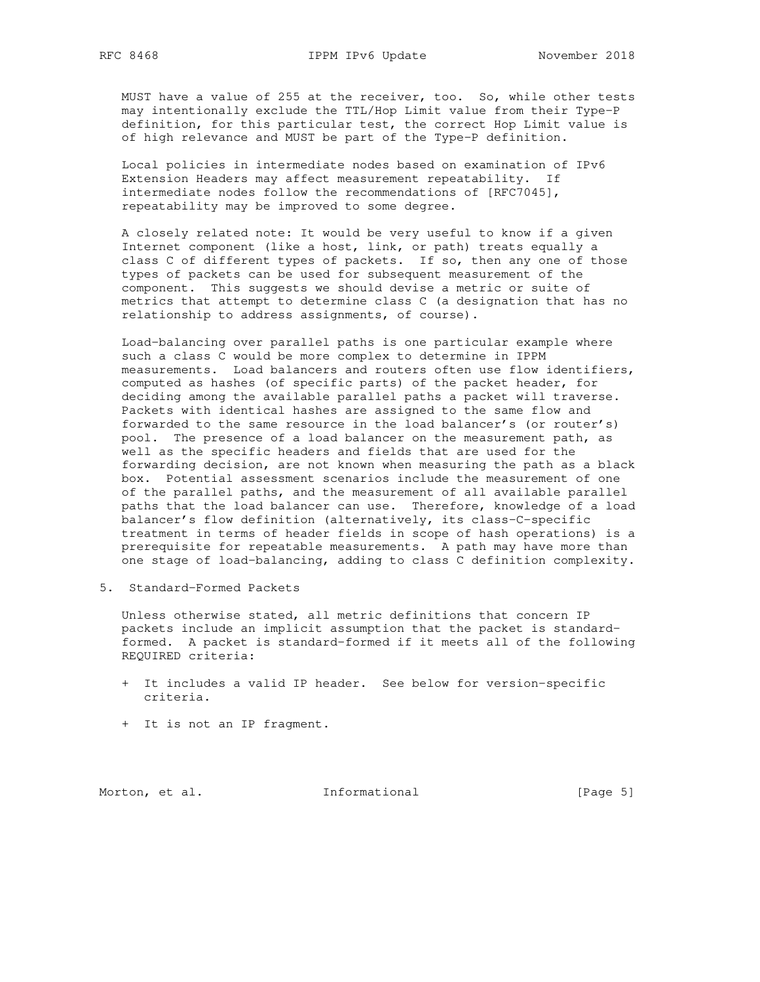MUST have a value of 255 at the receiver, too. So, while other tests may intentionally exclude the TTL/Hop Limit value from their Type-P definition, for this particular test, the correct Hop Limit value is of high relevance and MUST be part of the Type-P definition.

 Local policies in intermediate nodes based on examination of IPv6 Extension Headers may affect measurement repeatability. If intermediate nodes follow the recommendations of [RFC7045], repeatability may be improved to some degree.

 A closely related note: It would be very useful to know if a given Internet component (like a host, link, or path) treats equally a class C of different types of packets. If so, then any one of those types of packets can be used for subsequent measurement of the component. This suggests we should devise a metric or suite of metrics that attempt to determine class C (a designation that has no relationship to address assignments, of course).

 Load-balancing over parallel paths is one particular example where such a class C would be more complex to determine in IPPM measurements. Load balancers and routers often use flow identifiers, computed as hashes (of specific parts) of the packet header, for deciding among the available parallel paths a packet will traverse. Packets with identical hashes are assigned to the same flow and forwarded to the same resource in the load balancer's (or router's) pool. The presence of a load balancer on the measurement path, as well as the specific headers and fields that are used for the forwarding decision, are not known when measuring the path as a black box. Potential assessment scenarios include the measurement of one of the parallel paths, and the measurement of all available parallel paths that the load balancer can use. Therefore, knowledge of a load balancer's flow definition (alternatively, its class-C-specific treatment in terms of header fields in scope of hash operations) is a prerequisite for repeatable measurements. A path may have more than one stage of load-balancing, adding to class C definition complexity.

5. Standard-Formed Packets

 Unless otherwise stated, all metric definitions that concern IP packets include an implicit assumption that the packet is standard formed. A packet is standard-formed if it meets all of the following REQUIRED criteria:

- + It includes a valid IP header. See below for version-specific criteria.
- + It is not an IP fragment.

Morton, et al. 1nformational [Page 5]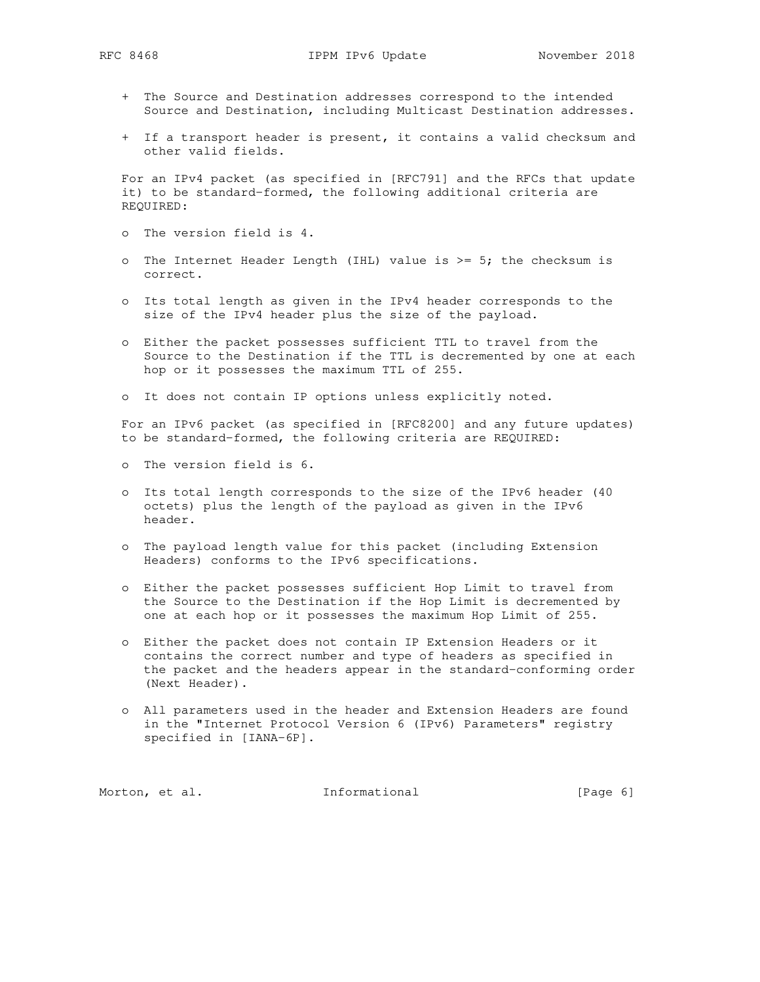- + The Source and Destination addresses correspond to the intended Source and Destination, including Multicast Destination addresses.
- + If a transport header is present, it contains a valid checksum and other valid fields.

 For an IPv4 packet (as specified in [RFC791] and the RFCs that update it) to be standard-formed, the following additional criteria are REQUIRED:

- o The version field is 4.
- o The Internet Header Length (IHL) value is  $>= 5$ ; the checksum is correct.
- o Its total length as given in the IPv4 header corresponds to the size of the IPv4 header plus the size of the payload.
- o Either the packet possesses sufficient TTL to travel from the Source to the Destination if the TTL is decremented by one at each hop or it possesses the maximum TTL of 255.
- o It does not contain IP options unless explicitly noted.

 For an IPv6 packet (as specified in [RFC8200] and any future updates) to be standard-formed, the following criteria are REQUIRED:

- o The version field is 6.
- o Its total length corresponds to the size of the IPv6 header (40 octets) plus the length of the payload as given in the IPv6 header.
- o The payload length value for this packet (including Extension Headers) conforms to the IPv6 specifications.
- o Either the packet possesses sufficient Hop Limit to travel from the Source to the Destination if the Hop Limit is decremented by one at each hop or it possesses the maximum Hop Limit of 255.
- o Either the packet does not contain IP Extension Headers or it contains the correct number and type of headers as specified in the packet and the headers appear in the standard-conforming order (Next Header).
- o All parameters used in the header and Extension Headers are found in the "Internet Protocol Version 6 (IPv6) Parameters" registry specified in [IANA-6P].

Morton, et al. 1nformational 1999 [Page 6]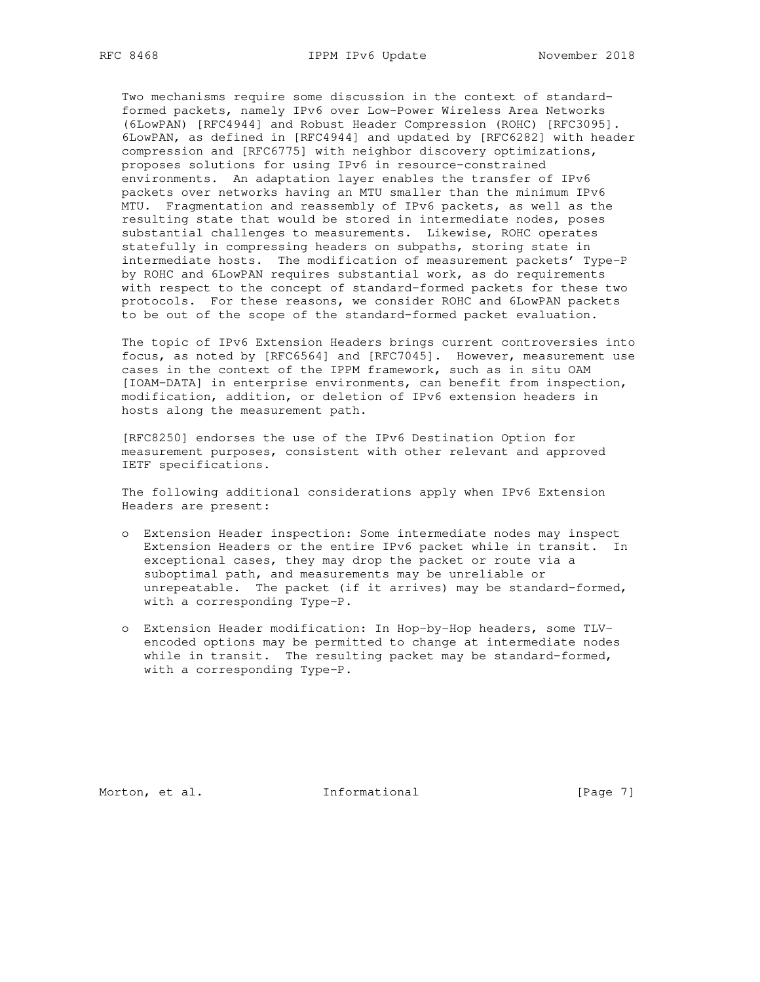Two mechanisms require some discussion in the context of standard formed packets, namely IPv6 over Low-Power Wireless Area Networks (6LowPAN) [RFC4944] and Robust Header Compression (ROHC) [RFC3095]. 6LowPAN, as defined in [RFC4944] and updated by [RFC6282] with header compression and [RFC6775] with neighbor discovery optimizations, proposes solutions for using IPv6 in resource-constrained environments. An adaptation layer enables the transfer of IPv6 packets over networks having an MTU smaller than the minimum IPv6 MTU. Fragmentation and reassembly of IPv6 packets, as well as the resulting state that would be stored in intermediate nodes, poses substantial challenges to measurements. Likewise, ROHC operates statefully in compressing headers on subpaths, storing state in intermediate hosts. The modification of measurement packets' Type-P by ROHC and 6LowPAN requires substantial work, as do requirements with respect to the concept of standard-formed packets for these two protocols. For these reasons, we consider ROHC and 6LowPAN packets to be out of the scope of the standard-formed packet evaluation.

 The topic of IPv6 Extension Headers brings current controversies into focus, as noted by [RFC6564] and [RFC7045]. However, measurement use cases in the context of the IPPM framework, such as in situ OAM [IOAM-DATA] in enterprise environments, can benefit from inspection, modification, addition, or deletion of IPv6 extension headers in hosts along the measurement path.

 [RFC8250] endorses the use of the IPv6 Destination Option for measurement purposes, consistent with other relevant and approved IETF specifications.

 The following additional considerations apply when IPv6 Extension Headers are present:

- o Extension Header inspection: Some intermediate nodes may inspect Extension Headers or the entire IPv6 packet while in transit. In exceptional cases, they may drop the packet or route via a suboptimal path, and measurements may be unreliable or unrepeatable. The packet (if it arrives) may be standard-formed, with a corresponding Type-P.
- o Extension Header modification: In Hop-by-Hop headers, some TLV encoded options may be permitted to change at intermediate nodes while in transit. The resulting packet may be standard-formed, with a corresponding Type-P.

Morton, et al. 1nformational [Page 7]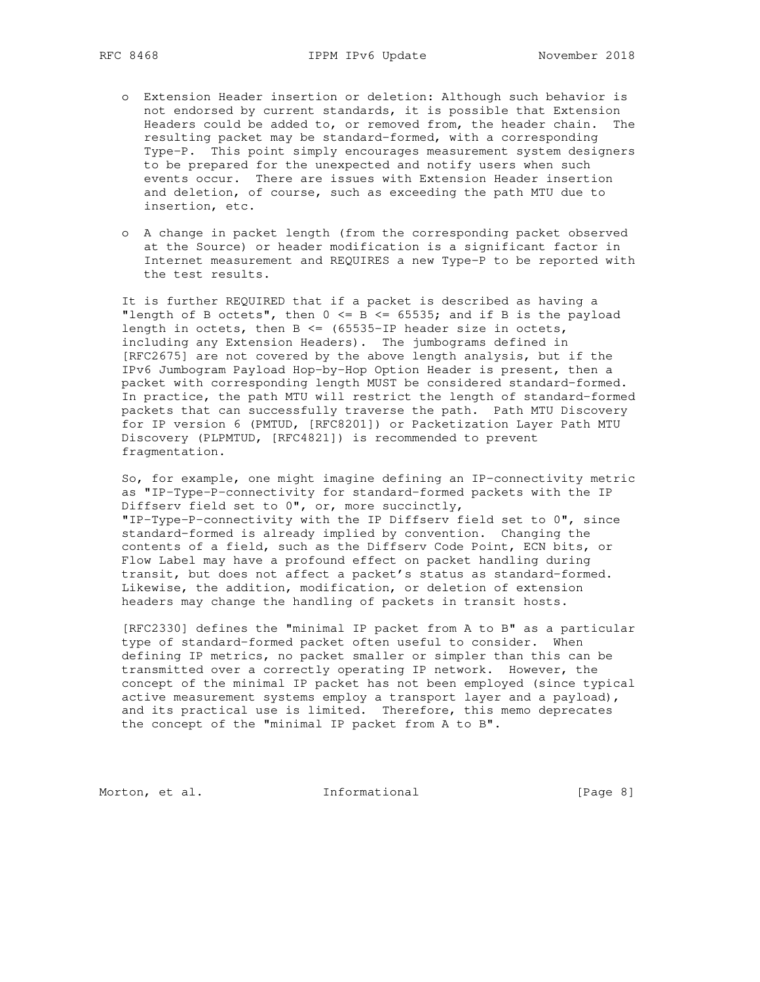- o Extension Header insertion or deletion: Although such behavior is not endorsed by current standards, it is possible that Extension Headers could be added to, or removed from, the header chain. The resulting packet may be standard-formed, with a corresponding Type-P. This point simply encourages measurement system designers to be prepared for the unexpected and notify users when such events occur. There are issues with Extension Header insertion and deletion, of course, such as exceeding the path MTU due to insertion, etc.
- o A change in packet length (from the corresponding packet observed at the Source) or header modification is a significant factor in Internet measurement and REQUIRES a new Type-P to be reported with the test results.

 It is further REQUIRED that if a packet is described as having a "length of B octets", then  $0 \le B \le 65535$ ; and if B is the payload length in octets, then  $B \leq (65535 - IP)$  header size in octets, including any Extension Headers). The jumbograms defined in [RFC2675] are not covered by the above length analysis, but if the IPv6 Jumbogram Payload Hop-by-Hop Option Header is present, then a packet with corresponding length MUST be considered standard-formed. In practice, the path MTU will restrict the length of standard-formed packets that can successfully traverse the path. Path MTU Discovery for IP version 6 (PMTUD, [RFC8201]) or Packetization Layer Path MTU Discovery (PLPMTUD, [RFC4821]) is recommended to prevent fragmentation.

 So, for example, one might imagine defining an IP-connectivity metric as "IP-Type-P-connectivity for standard-formed packets with the IP Diffserv field set to 0", or, more succinctly, "IP-Type-P-connectivity with the IP Diffserv field set to 0", since standard-formed is already implied by convention. Changing the contents of a field, such as the Diffserv Code Point, ECN bits, or Flow Label may have a profound effect on packet handling during transit, but does not affect a packet's status as standard-formed. Likewise, the addition, modification, or deletion of extension headers may change the handling of packets in transit hosts.

 [RFC2330] defines the "minimal IP packet from A to B" as a particular type of standard-formed packet often useful to consider. When defining IP metrics, no packet smaller or simpler than this can be transmitted over a correctly operating IP network. However, the concept of the minimal IP packet has not been employed (since typical active measurement systems employ a transport layer and a payload), and its practical use is limited. Therefore, this memo deprecates the concept of the "minimal IP packet from A to B".

Morton, et al. 1nformational [Page 8]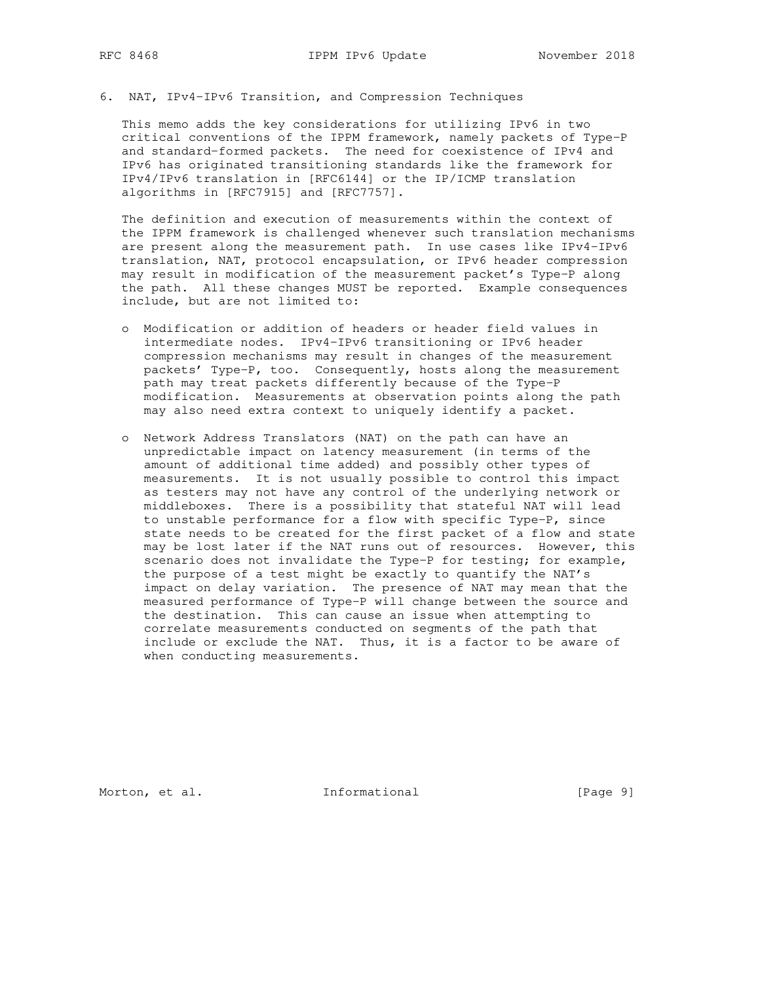# 6. NAT, IPv4-IPv6 Transition, and Compression Techniques

 This memo adds the key considerations for utilizing IPv6 in two critical conventions of the IPPM framework, namely packets of Type-P and standard-formed packets. The need for coexistence of IPv4 and IPv6 has originated transitioning standards like the framework for IPv4/IPv6 translation in [RFC6144] or the IP/ICMP translation algorithms in [RFC7915] and [RFC7757].

 The definition and execution of measurements within the context of the IPPM framework is challenged whenever such translation mechanisms are present along the measurement path. In use cases like IPv4-IPv6 translation, NAT, protocol encapsulation, or IPv6 header compression may result in modification of the measurement packet's Type-P along the path. All these changes MUST be reported. Example consequences include, but are not limited to:

- o Modification or addition of headers or header field values in intermediate nodes. IPv4-IPv6 transitioning or IPv6 header compression mechanisms may result in changes of the measurement packets' Type-P, too. Consequently, hosts along the measurement path may treat packets differently because of the Type-P modification. Measurements at observation points along the path may also need extra context to uniquely identify a packet.
- o Network Address Translators (NAT) on the path can have an unpredictable impact on latency measurement (in terms of the amount of additional time added) and possibly other types of measurements. It is not usually possible to control this impact as testers may not have any control of the underlying network or middleboxes. There is a possibility that stateful NAT will lead to unstable performance for a flow with specific Type-P, since state needs to be created for the first packet of a flow and state may be lost later if the NAT runs out of resources. However, this scenario does not invalidate the Type-P for testing; for example, the purpose of a test might be exactly to quantify the NAT's impact on delay variation. The presence of NAT may mean that the measured performance of Type-P will change between the source and the destination. This can cause an issue when attempting to correlate measurements conducted on segments of the path that include or exclude the NAT. Thus, it is a factor to be aware of when conducting measurements.

Morton, et al. 1nformational [Page 9]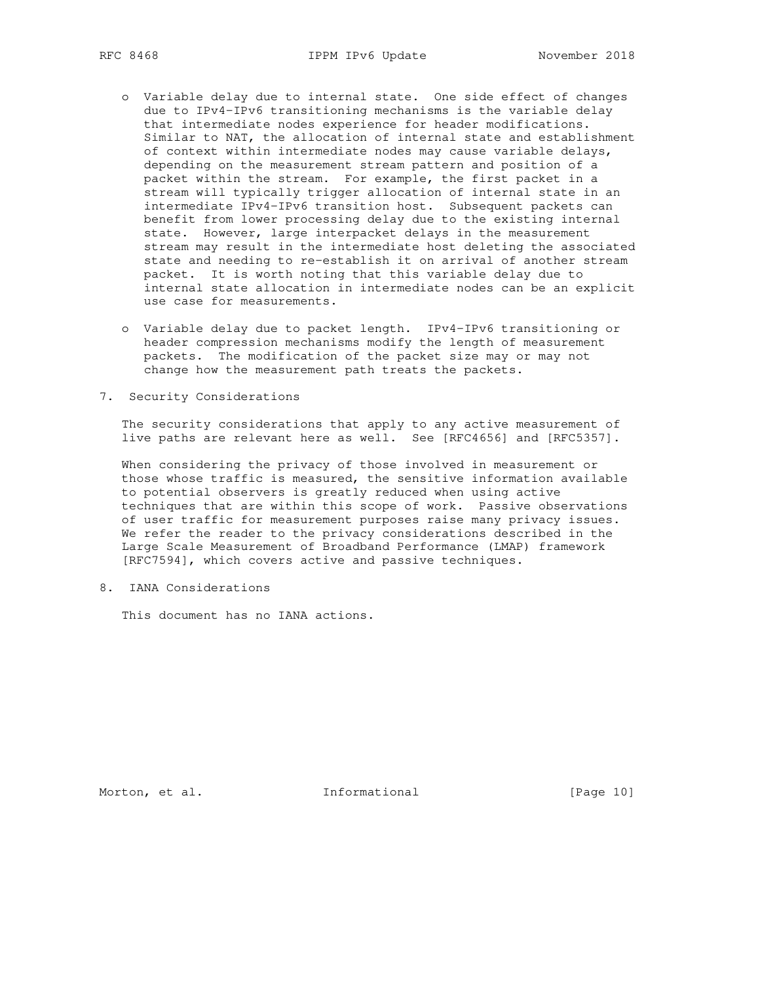- o Variable delay due to internal state. One side effect of changes due to IPv4-IPv6 transitioning mechanisms is the variable delay that intermediate nodes experience for header modifications. Similar to NAT, the allocation of internal state and establishment of context within intermediate nodes may cause variable delays, depending on the measurement stream pattern and position of a packet within the stream. For example, the first packet in a stream will typically trigger allocation of internal state in an intermediate IPv4-IPv6 transition host. Subsequent packets can benefit from lower processing delay due to the existing internal state. However, large interpacket delays in the measurement stream may result in the intermediate host deleting the associated state and needing to re-establish it on arrival of another stream packet. It is worth noting that this variable delay due to internal state allocation in intermediate nodes can be an explicit use case for measurements.
- o Variable delay due to packet length. IPv4-IPv6 transitioning or header compression mechanisms modify the length of measurement packets. The modification of the packet size may or may not change how the measurement path treats the packets.
- 7. Security Considerations

 The security considerations that apply to any active measurement of live paths are relevant here as well. See [RFC4656] and [RFC5357].

 When considering the privacy of those involved in measurement or those whose traffic is measured, the sensitive information available to potential observers is greatly reduced when using active techniques that are within this scope of work. Passive observations of user traffic for measurement purposes raise many privacy issues. We refer the reader to the privacy considerations described in the Large Scale Measurement of Broadband Performance (LMAP) framework [RFC7594], which covers active and passive techniques.

8. IANA Considerations

This document has no IANA actions.

Morton, et al. 1nformational [Page 10]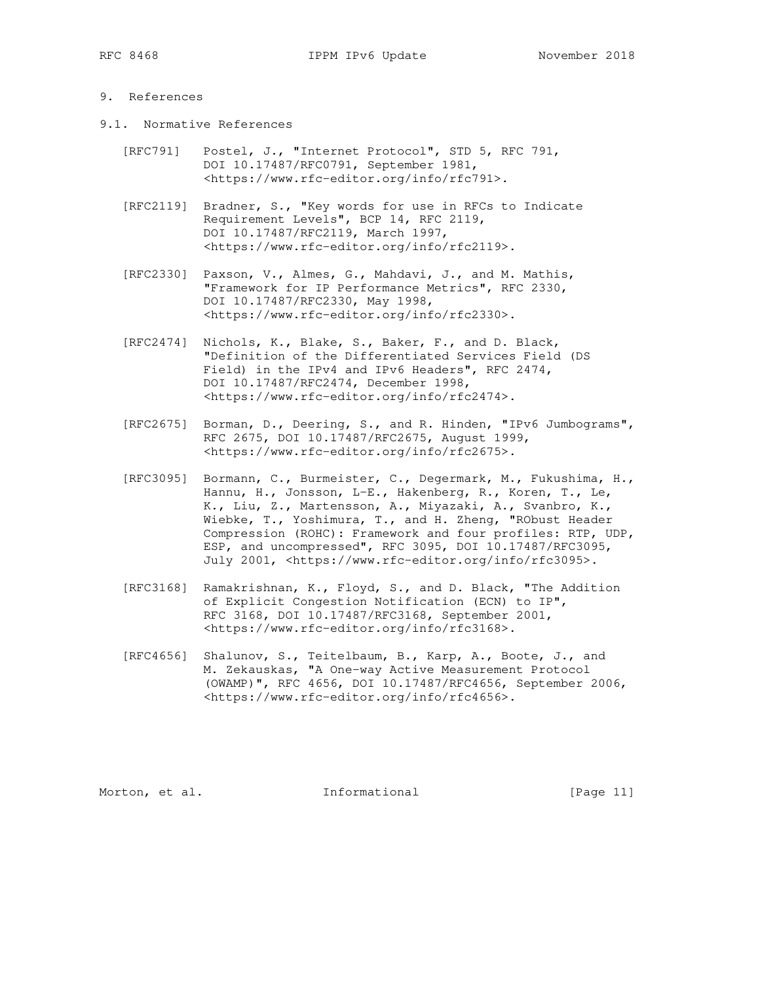## 9. References

- 9.1. Normative References
	- [RFC791] Postel, J., "Internet Protocol", STD 5, RFC 791, DOI 10.17487/RFC0791, September 1981, <https://www.rfc-editor.org/info/rfc791>.
	- [RFC2119] Bradner, S., "Key words for use in RFCs to Indicate Requirement Levels", BCP 14, RFC 2119, DOI 10.17487/RFC2119, March 1997, <https://www.rfc-editor.org/info/rfc2119>.
	- [RFC2330] Paxson, V., Almes, G., Mahdavi, J., and M. Mathis, "Framework for IP Performance Metrics", RFC 2330, DOI 10.17487/RFC2330, May 1998, <https://www.rfc-editor.org/info/rfc2330>.
	- [RFC2474] Nichols, K., Blake, S., Baker, F., and D. Black, "Definition of the Differentiated Services Field (DS Field) in the IPv4 and IPv6 Headers", RFC 2474, DOI 10.17487/RFC2474, December 1998, <https://www.rfc-editor.org/info/rfc2474>.
	- [RFC2675] Borman, D., Deering, S., and R. Hinden, "IPv6 Jumbograms", RFC 2675, DOI 10.17487/RFC2675, August 1999, <https://www.rfc-editor.org/info/rfc2675>.
	- [RFC3095] Bormann, C., Burmeister, C., Degermark, M., Fukushima, H., Hannu, H., Jonsson, L-E., Hakenberg, R., Koren, T., Le, K., Liu, Z., Martensson, A., Miyazaki, A., Svanbro, K., Wiebke, T., Yoshimura, T., and H. Zheng, "RObust Header Compression (ROHC): Framework and four profiles: RTP, UDP, ESP, and uncompressed", RFC 3095, DOI 10.17487/RFC3095, July 2001, <https://www.rfc-editor.org/info/rfc3095>.
	- [RFC3168] Ramakrishnan, K., Floyd, S., and D. Black, "The Addition of Explicit Congestion Notification (ECN) to IP", RFC 3168, DOI 10.17487/RFC3168, September 2001, <https://www.rfc-editor.org/info/rfc3168>.
	- [RFC4656] Shalunov, S., Teitelbaum, B., Karp, A., Boote, J., and M. Zekauskas, "A One-way Active Measurement Protocol (OWAMP)", RFC 4656, DOI 10.17487/RFC4656, September 2006, <https://www.rfc-editor.org/info/rfc4656>.

Morton, et al. 1nformational [Page 11]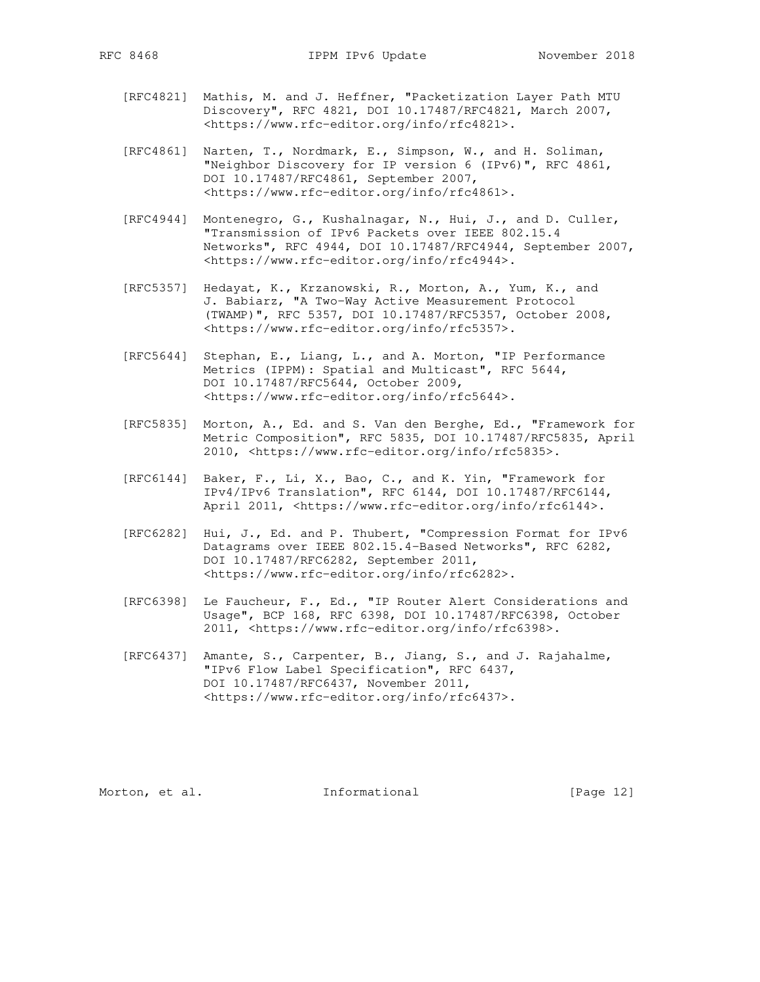- [RFC4821] Mathis, M. and J. Heffner, "Packetization Layer Path MTU Discovery", RFC 4821, DOI 10.17487/RFC4821, March 2007, <https://www.rfc-editor.org/info/rfc4821>.
- [RFC4861] Narten, T., Nordmark, E., Simpson, W., and H. Soliman, "Neighbor Discovery for IP version 6 (IPv6)", RFC 4861, DOI 10.17487/RFC4861, September 2007, <https://www.rfc-editor.org/info/rfc4861>.
- [RFC4944] Montenegro, G., Kushalnagar, N., Hui, J., and D. Culler, "Transmission of IPv6 Packets over IEEE 802.15.4 Networks", RFC 4944, DOI 10.17487/RFC4944, September 2007, <https://www.rfc-editor.org/info/rfc4944>.
- [RFC5357] Hedayat, K., Krzanowski, R., Morton, A., Yum, K., and J. Babiarz, "A Two-Way Active Measurement Protocol (TWAMP)", RFC 5357, DOI 10.17487/RFC5357, October 2008, <https://www.rfc-editor.org/info/rfc5357>.
- [RFC5644] Stephan, E., Liang, L., and A. Morton, "IP Performance Metrics (IPPM): Spatial and Multicast", RFC 5644, DOI 10.17487/RFC5644, October 2009, <https://www.rfc-editor.org/info/rfc5644>.
- [RFC5835] Morton, A., Ed. and S. Van den Berghe, Ed., "Framework for Metric Composition", RFC 5835, DOI 10.17487/RFC5835, April 2010, <https://www.rfc-editor.org/info/rfc5835>.
- [RFC6144] Baker, F., Li, X., Bao, C., and K. Yin, "Framework for IPv4/IPv6 Translation", RFC 6144, DOI 10.17487/RFC6144, April 2011, <https://www.rfc-editor.org/info/rfc6144>.
- [RFC6282] Hui, J., Ed. and P. Thubert, "Compression Format for IPv6 Datagrams over IEEE 802.15.4-Based Networks", RFC 6282, DOI 10.17487/RFC6282, September 2011, <https://www.rfc-editor.org/info/rfc6282>.
- [RFC6398] Le Faucheur, F., Ed., "IP Router Alert Considerations and Usage", BCP 168, RFC 6398, DOI 10.17487/RFC6398, October 2011, <https://www.rfc-editor.org/info/rfc6398>.
- [RFC6437] Amante, S., Carpenter, B., Jiang, S., and J. Rajahalme, "IPv6 Flow Label Specification", RFC 6437, DOI 10.17487/RFC6437, November 2011, <https://www.rfc-editor.org/info/rfc6437>.

Morton, et al. 1nformational [Page 12]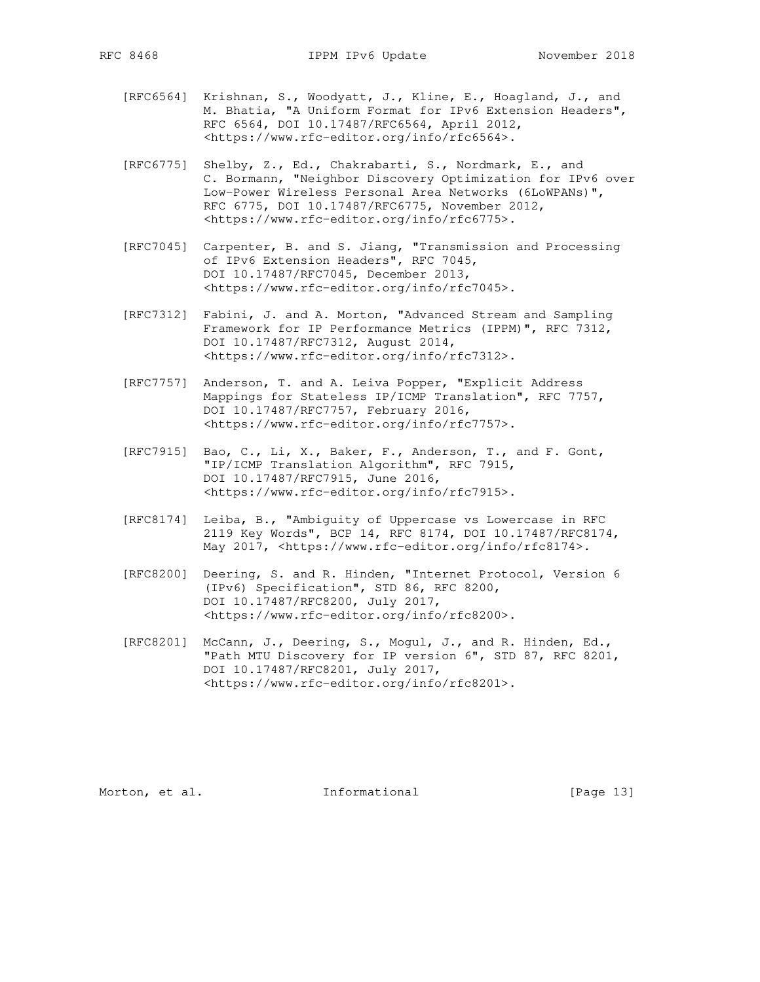- [RFC6564] Krishnan, S., Woodyatt, J., Kline, E., Hoagland, J., and M. Bhatia, "A Uniform Format for IPv6 Extension Headers", RFC 6564, DOI 10.17487/RFC6564, April 2012, <https://www.rfc-editor.org/info/rfc6564>.
- [RFC6775] Shelby, Z., Ed., Chakrabarti, S., Nordmark, E., and C. Bormann, "Neighbor Discovery Optimization for IPv6 over Low-Power Wireless Personal Area Networks (6LoWPANs)", RFC 6775, DOI 10.17487/RFC6775, November 2012, <https://www.rfc-editor.org/info/rfc6775>.
- [RFC7045] Carpenter, B. and S. Jiang, "Transmission and Processing of IPv6 Extension Headers", RFC 7045, DOI 10.17487/RFC7045, December 2013, <https://www.rfc-editor.org/info/rfc7045>.
- [RFC7312] Fabini, J. and A. Morton, "Advanced Stream and Sampling Framework for IP Performance Metrics (IPPM)", RFC 7312, DOI 10.17487/RFC7312, August 2014, <https://www.rfc-editor.org/info/rfc7312>.
- [RFC7757] Anderson, T. and A. Leiva Popper, "Explicit Address Mappings for Stateless IP/ICMP Translation", RFC 7757, DOI 10.17487/RFC7757, February 2016, <https://www.rfc-editor.org/info/rfc7757>.
- [RFC7915] Bao, C., Li, X., Baker, F., Anderson, T., and F. Gont, "IP/ICMP Translation Algorithm", RFC 7915, DOI 10.17487/RFC7915, June 2016, <https://www.rfc-editor.org/info/rfc7915>.
- [RFC8174] Leiba, B., "Ambiguity of Uppercase vs Lowercase in RFC 2119 Key Words", BCP 14, RFC 8174, DOI 10.17487/RFC8174, May 2017, <https://www.rfc-editor.org/info/rfc8174>.
- [RFC8200] Deering, S. and R. Hinden, "Internet Protocol, Version 6 (IPv6) Specification", STD 86, RFC 8200, DOI 10.17487/RFC8200, July 2017, <https://www.rfc-editor.org/info/rfc8200>.
- [RFC8201] McCann, J., Deering, S., Mogul, J., and R. Hinden, Ed., "Path MTU Discovery for IP version 6", STD 87, RFC 8201, DOI 10.17487/RFC8201, July 2017, <https://www.rfc-editor.org/info/rfc8201>.

Morton, et al. 1nformational [Page 13]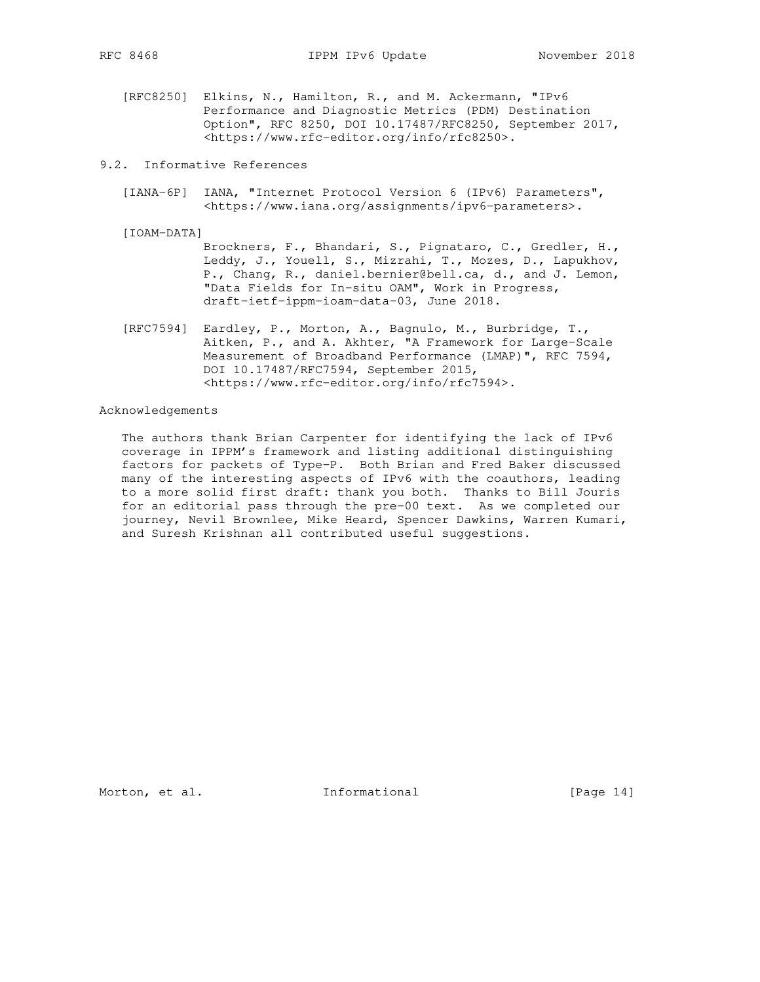- [RFC8250] Elkins, N., Hamilton, R., and M. Ackermann, "IPv6 Performance and Diagnostic Metrics (PDM) Destination Option", RFC 8250, DOI 10.17487/RFC8250, September 2017, <https://www.rfc-editor.org/info/rfc8250>.
- 9.2. Informative References
	- [IANA-6P] IANA, "Internet Protocol Version 6 (IPv6) Parameters", <https://www.iana.org/assignments/ipv6-parameters>.
	- [IOAM-DATA]
		- Brockners, F., Bhandari, S., Pignataro, C., Gredler, H., Leddy, J., Youell, S., Mizrahi, T., Mozes, D., Lapukhov, P., Chang, R., daniel.bernier@bell.ca, d., and J. Lemon, "Data Fields for In-situ OAM", Work in Progress, draft-ietf-ippm-ioam-data-03, June 2018.
	- [RFC7594] Eardley, P., Morton, A., Bagnulo, M., Burbridge, T., Aitken, P., and A. Akhter, "A Framework for Large-Scale Measurement of Broadband Performance (LMAP)", RFC 7594, DOI 10.17487/RFC7594, September 2015, <https://www.rfc-editor.org/info/rfc7594>.

### Acknowledgements

 The authors thank Brian Carpenter for identifying the lack of IPv6 coverage in IPPM's framework and listing additional distinguishing factors for packets of Type-P. Both Brian and Fred Baker discussed many of the interesting aspects of IPv6 with the coauthors, leading to a more solid first draft: thank you both. Thanks to Bill Jouris for an editorial pass through the pre-00 text. As we completed our journey, Nevil Brownlee, Mike Heard, Spencer Dawkins, Warren Kumari, and Suresh Krishnan all contributed useful suggestions.

Morton, et al. 1nformational [Page 14]